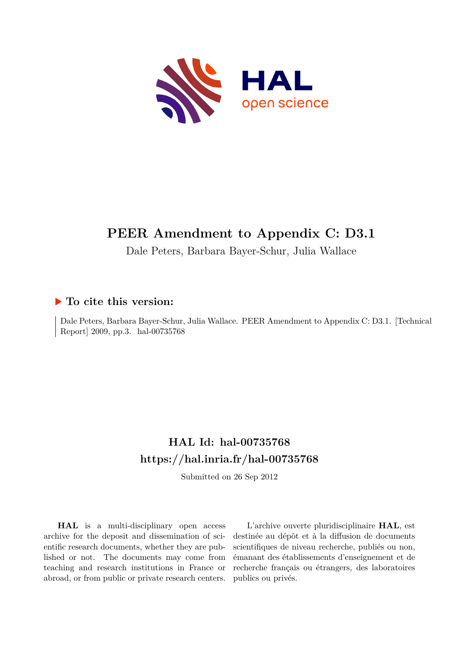

## **PEER Amendment to Appendix C: D3.1**

Dale Peters, Barbara Bayer-Schur, Julia Wallace

### **To cite this version:**

Dale Peters, Barbara Bayer-Schur, Julia Wallace. PEER Amendment to Appendix C: D3.1. [Technical Report] 2009, pp.3. hal-00735768

### **HAL Id: hal-00735768 <https://hal.inria.fr/hal-00735768>**

Submitted on 26 Sep 2012

**HAL** is a multi-disciplinary open access archive for the deposit and dissemination of scientific research documents, whether they are published or not. The documents may come from teaching and research institutions in France or abroad, or from public or private research centers.

L'archive ouverte pluridisciplinaire **HAL**, est destinée au dépôt et à la diffusion de documents scientifiques de niveau recherche, publiés ou non, émanant des établissements d'enseignement et de recherche français ou étrangers, des laboratoires publics ou privés.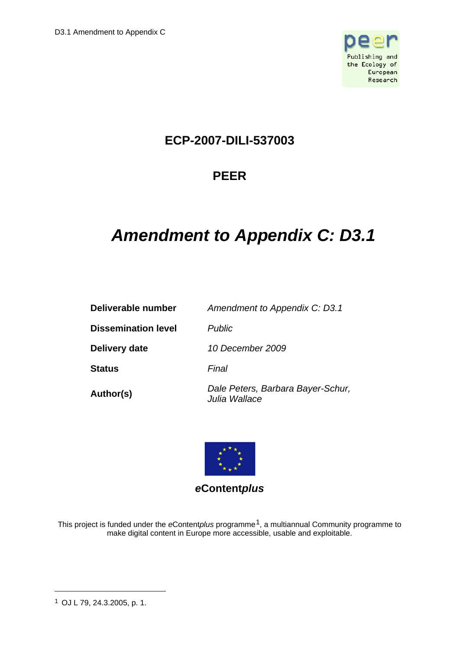

### **ECP-2007-DILI-537003**

### **PEER**

# *Amendment to Appendix C: D3.1*

| Deliverable number         | Amendment to Appendix C: D3.1                      |
|----------------------------|----------------------------------------------------|
| <b>Dissemination level</b> | <b>Public</b>                                      |
| Delivery date              | 10 December 2009                                   |
| Status                     | Final                                              |
| Author(s)                  | Dale Peters, Barbara Bayer-Schur,<br>Julia Wallace |



*e***Content***plus* 

This project is funded under the *e*Content*plus* programme[1,](#page-1-0) a multiannual Community programme to make digital content in Europe more accessible, usable and exploitable.

 $\overline{a}$ 

<span id="page-1-0"></span><sup>1</sup> OJ L 79, 24.3.2005, p. 1.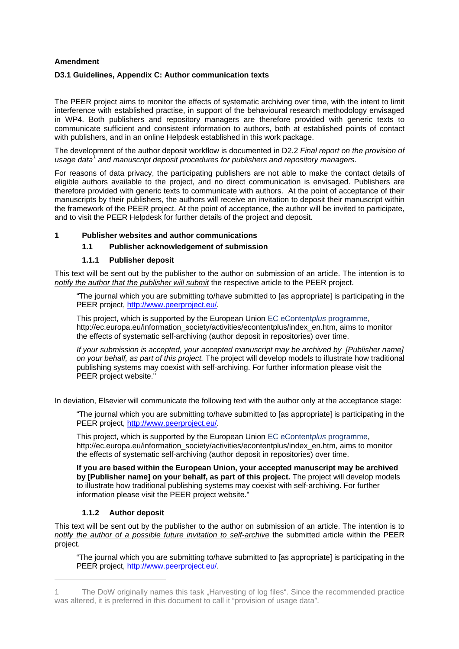#### **Amendment**

#### **D3.1 Guidelines, Appendix C: Author communication texts**

The PEER project aims to monitor the effects of systematic archiving over time, with the intent to limit interference with established practise, in support of the behavioural research methodology envisaged in WP4. Both publishers and repository managers are therefore provided with generic texts to communicate sufficient and consistent information to authors, both at established points of contact with publishers, and in an online Helpdesk established in this work package.

The development of the author deposit workflow is documented in D2.2 *Final report on the provision of*  usage data<sup>[1](#page-2-0)</sup> and manuscript deposit procedures for publishers and repository managers.

For reasons of data privacy, the participating publishers are not able to make the contact details of eligible authors available to the project, and no direct communication is envisaged. Publishers are therefore provided with generic texts to communicate with authors. At the point of acceptance of their manuscripts by their publishers, the authors will receive an invitation to deposit their manuscript within the framework of the PEER project. At the point of acceptance, the author will be invited to participate, and to visit the PEER Helpdesk for further details of the project and deposit.

#### **1 Publisher websites and author communications**

#### **1.1 Publisher acknowledgement of submission**

#### **1.1.1 Publisher deposit**

This text will be sent out by the publisher to the author on submission of an article. The intention is to *notify the author that the publisher will submit* the respective article to the PEER project.

"The journal which you are submitting to/have submitted to [as appropriate] is participating in the PEER project, [http://www.peerproject.eu/.](http://www.peerproject.eu/)

This project, which is supported by the European Union [EC eContent](http://ec.europa.eu/information_society/activities/econtentplus/index_en.htm)*plus* programme, http://ec.europa.eu/information\_society/activities/econtentplus/index\_en.htm, aims to monitor the effects of systematic self-archiving (author deposit in repositories) over time.

*If your submission is accepted, your accepted manuscript may be archived by [Publisher name] on your behalf, as part of this project.* The project will develop models to illustrate how traditional publishing systems may coexist with self-archiving. For further information please visit the PEER project website."

In deviation, Elsevier will communicate the following text with the author only at the acceptance stage:

"The journal which you are submitting to/have submitted to [as appropriate] is participating in the PEER project, [http://www.peerproject.eu/.](http://www.peerproject.eu/)

This project, which is supported by the European Union [EC eContent](http://ec.europa.eu/information_society/activities/econtentplus/index_en.htm)*plus* programme, http://ec.europa.eu/information\_society/activities/econtentplus/index\_en.htm, aims to monitor the effects of systematic self-archiving (author deposit in repositories) over time.

**If you are based within the European Union, your accepted manuscript may be archived by [Publisher name] on your behalf, as part of this project.** The project will develop models to illustrate how traditional publishing systems may coexist with self-archiving. For further information please visit the PEER project website."

#### **1.1.2 Author deposit**

-

This text will be sent out by the publisher to the author on submission of an article. The intention is to *notify the author of a possible future invitation to self-archive* the submitted article within the PEER project.

"The journal which you are submitting to/have submitted to [as appropriate] is participating in the PEER project, [http://www.peerproject.eu/.](http://www.peerproject.eu/)

<span id="page-2-0"></span><sup>1</sup> The DoW originally names this task "Harvesting of log files". Since the recommended practice was altered, it is preferred in this document to call it "provision of usage data".